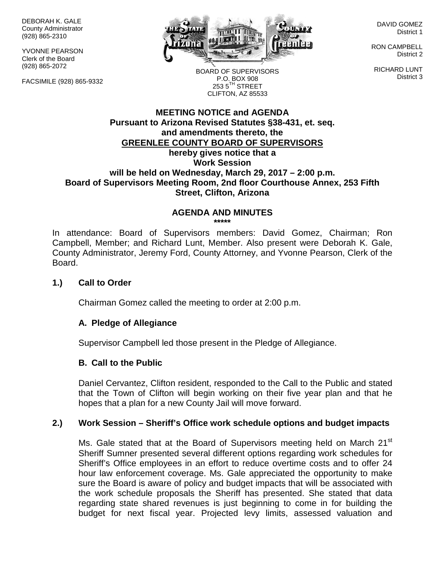DEBORAH K. GALE County Administrator (928) 865-2310

YVONNE PEARSON Clerk of the Board (928) 865-2072

FACSIMILE (928) 865-9332



DAVID GOMEZ District 1

RON CAMPBELL District 2

RICHARD LUNT District 3

BOARD OF SUPERVISORS P.O. BOX 908  $253.5$ <sup>TH</sup> STREET CLIFTON, AZ 85533

## **MEETING NOTICE and AGENDA Pursuant to Arizona Revised Statutes §38-431, et. seq. and amendments thereto, the GREENLEE COUNTY BOARD OF SUPERVISORS hereby gives notice that a Work Session will be held on Wednesday, March 29, 2017 – 2:00 p.m. Board of Supervisors Meeting Room, 2nd floor Courthouse Annex, 253 Fifth Street, Clifton, Arizona**

#### **AGENDA AND MINUTES \*\*\*\*\***

In attendance: Board of Supervisors members: David Gomez, Chairman; Ron Campbell, Member; and Richard Lunt, Member. Also present were Deborah K. Gale, County Administrator, Jeremy Ford, County Attorney, and Yvonne Pearson, Clerk of the Board.

## **1.) Call to Order**

Chairman Gomez called the meeting to order at 2:00 p.m.

# **A. Pledge of Allegiance**

Supervisor Campbell led those present in the Pledge of Allegiance.

### **B. Call to the Public**

Daniel Cervantez, Clifton resident, responded to the Call to the Public and stated that the Town of Clifton will begin working on their five year plan and that he hopes that a plan for a new County Jail will move forward.

# **2.) Work Session – Sheriff's Office work schedule options and budget impacts**

Ms. Gale stated that at the Board of Supervisors meeting held on March  $21<sup>st</sup>$ Sheriff Sumner presented several different options regarding work schedules for Sheriff's Office employees in an effort to reduce overtime costs and to offer 24 hour law enforcement coverage. Ms. Gale appreciated the opportunity to make sure the Board is aware of policy and budget impacts that will be associated with the work schedule proposals the Sheriff has presented. She stated that data regarding state shared revenues is just beginning to come in for building the budget for next fiscal year. Projected levy limits, assessed valuation and